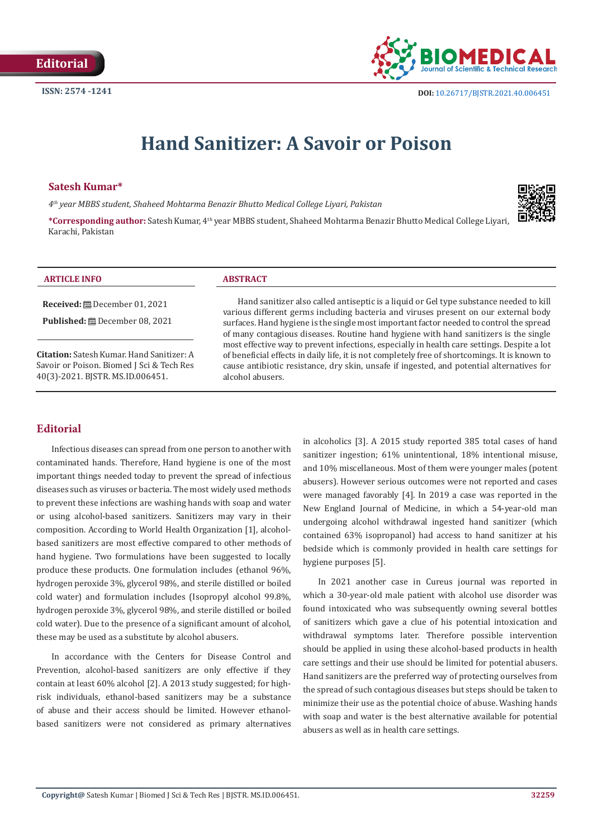

# **Hand Sanitizer: A Savoir or Poison**

## **Satesh Kumar\***

*4th year MBBS student, Shaheed Mohtarma Benazir Bhutto Medical College Liyari, Pakistan*



**\*Corresponding author:** Satesh Kumar, 4th year MBBS student, Shaheed Mohtarma Benazir Bhutto Medical College Liyari, Karachi, Pakistan

#### **ARTICLE INFO ABSTRACT**

**Received:** December 01, 2021

**Published:** December 08, 2021

**Citation:** Satesh Kumar. Hand Sanitizer: A Savoir or Poison. Biomed J Sci & Tech Res 40(3)-2021. BJSTR. MS.ID.006451.

Hand sanitizer also called antiseptic is a liquid or Gel type substance needed to kill various different germs including bacteria and viruses present on our external body surfaces. Hand hygiene is the single most important factor needed to control the spread of many contagious diseases. Routine hand hygiene with hand sanitizers is the single most effective way to prevent infections, especially in health care settings. Despite a lot of beneficial effects in daily life, it is not completely free of shortcomings. It is known to cause antibiotic resistance, dry skin, unsafe if ingested, and potential alternatives for alcohol abusers.

# **Editorial**

Infectious diseases can spread from one person to another with contaminated hands. Therefore, Hand hygiene is one of the most important things needed today to prevent the spread of infectious diseases such as viruses or bacteria. The most widely used methods to prevent these infections are washing hands with soap and water or using alcohol-based sanitizers. Sanitizers may vary in their composition. According to World Health Organization [1], alcoholbased sanitizers are most effective compared to other methods of hand hygiene. Two formulations have been suggested to locally produce these products. One formulation includes (ethanol 96%, hydrogen peroxide 3%, glycerol 98%, and sterile distilled or boiled cold water) and formulation includes (Isopropyl alcohol 99.8%, hydrogen peroxide 3%, glycerol 98%, and sterile distilled or boiled cold water). Due to the presence of a significant amount of alcohol, these may be used as a substitute by alcohol abusers.

In accordance with the Centers for Disease Control and Prevention, alcohol-based sanitizers are only effective if they contain at least 60% alcohol [2]. A 2013 study suggested; for highrisk individuals, ethanol-based sanitizers may be a substance of abuse and their access should be limited. However ethanolbased sanitizers were not considered as primary alternatives in alcoholics [3]. A 2015 study reported 385 total cases of hand sanitizer ingestion; 61% unintentional, 18% intentional misuse, and 10% miscellaneous. Most of them were younger males (potent abusers). However serious outcomes were not reported and cases were managed favorably [4]. In 2019 a case was reported in the New England Journal of Medicine, in which a 54-year-old man undergoing alcohol withdrawal ingested hand sanitizer (which contained 63% isopropanol) had access to hand sanitizer at his bedside which is commonly provided in health care settings for hygiene purposes [5].

In 2021 another case in Cureus journal was reported in which a 30-year-old male patient with alcohol use disorder was found intoxicated who was subsequently owning several bottles of sanitizers which gave a clue of his potential intoxication and withdrawal symptoms later. Therefore possible intervention should be applied in using these alcohol-based products in health care settings and their use should be limited for potential abusers. Hand sanitizers are the preferred way of protecting ourselves from the spread of such contagious diseases but steps should be taken to minimize their use as the potential choice of abuse. Washing hands with soap and water is the best alternative available for potential abusers as well as in health care settings.